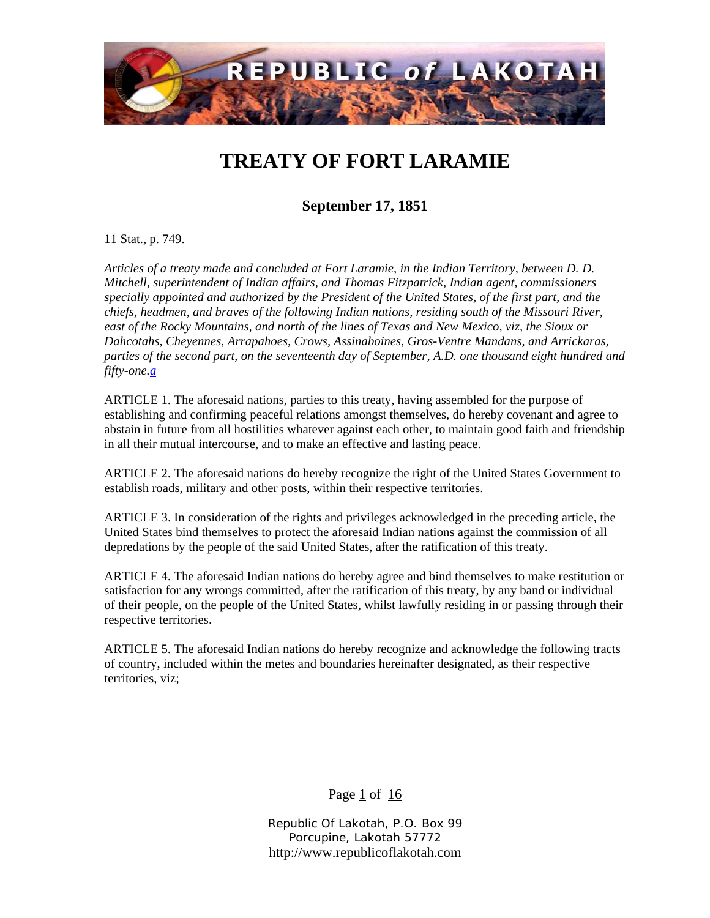

# **TREATY OF FORT LARAMIE**

**September 17, 1851** 

11 Stat., p. 749.

*Articles of a treaty made and concluded at Fort Laramie, in the Indian Territory, between D. D. Mitchell, superintendent of Indian affairs, and Thomas Fitzpatrick, Indian agent, commissioners specially appointed and authorized by the President of the United States, of the first part, and the chiefs, headmen, and braves of the following Indian nations, residing south of the Missouri River, east of the Rocky Mountains, and north of the lines of Texas and New Mexico, viz, the Sioux or Dahcotahs, Cheyennes, Arrapahoes, Crows, Assinaboines, Gros-Ventre Mandans, and Arrickaras, parties of the second part, on the seventeenth day of September, A.D. one thousand eight hundred and fifty-one.a*

ARTICLE 1. The aforesaid nations, parties to this treaty, having assembled for the purpose of establishing and confirming peaceful relations amongst themselves, do hereby covenant and agree to abstain in future from all hostilities whatever against each other, to maintain good faith and friendship in all their mutual intercourse, and to make an effective and lasting peace.

ARTICLE 2. The aforesaid nations do hereby recognize the right of the United States Government to establish roads, military and other posts, within their respective territories.

ARTICLE 3. In consideration of the rights and privileges acknowledged in the preceding article, the United States bind themselves to protect the aforesaid Indian nations against the commission of all depredations by the people of the said United States, after the ratification of this treaty.

ARTICLE 4. The aforesaid Indian nations do hereby agree and bind themselves to make restitution or satisfaction for any wrongs committed, after the ratification of this treaty, by any band or individual of their people, on the people of the United States, whilst lawfully residing in or passing through their respective territories.

ARTICLE 5. The aforesaid Indian nations do hereby recognize and acknowledge the following tracts of country, included within the metes and boundaries hereinafter designated, as their respective territories, viz;

Page  $1$  of  $16$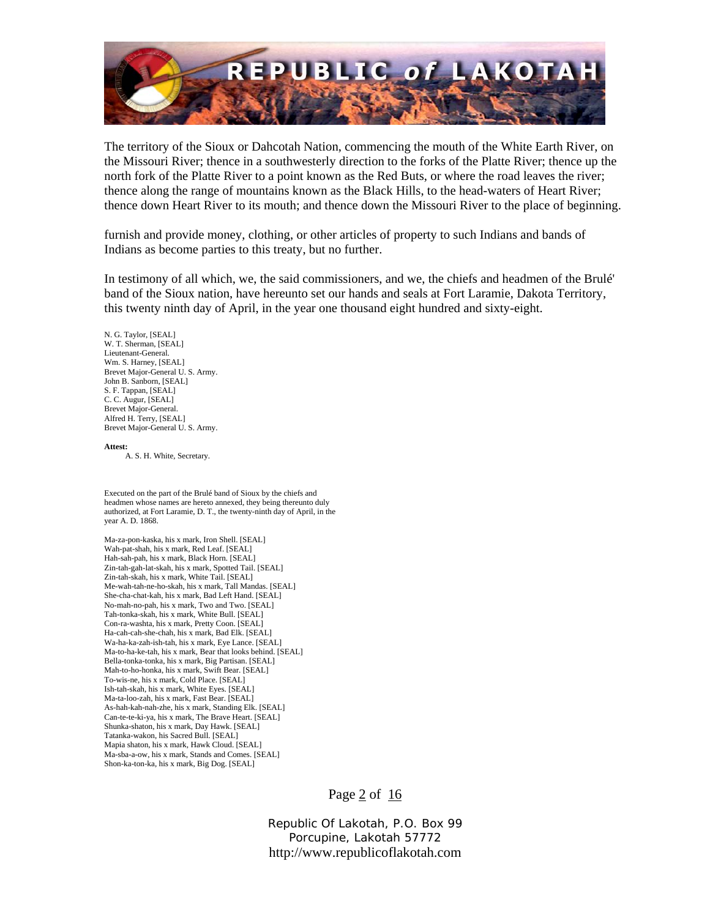

The territory of the Sioux or Dahcotah Nation, commencing the mouth of the White Earth River, on the Missouri River; thence in a southwesterly direction to the forks of the Platte River; thence up the north fork of the Platte River to a point known as the Red Buts, or where the road leaves the river; thence along the range of mountains known as the Black Hills, to the head-waters of Heart River; thence down Heart River to its mouth; and thence down the Missouri River to the place of beginning.

furnish and provide money, clothing, or other articles of property to such Indians and bands of Indians as become parties to this treaty, but no further.

In testimony of all which, we, the said commissioners, and we, the chiefs and headmen of the Brulé' band of the Sioux nation, have hereunto set our hands and seals at Fort Laramie, Dakota Territory, this twenty ninth day of April, in the year one thousand eight hundred and sixty-eight.

N. G. Taylor, [SEAL] W. T. Sherman, [SEAL] Lieutenant-General. Wm. S. Harney, [SEAL] Brevet Major-General U. S. Army. John B. Sanborn, [SEAL] S. F. Tappan, [SEAL] C. C. Augur, [SEAL] Brevet Major-General. Alfred H. Terry, [SEAL] Brevet Major-General U. S. Army.

**Attest:** 

A. S. H. White, Secretary.

Executed on the part of the Brulé band of Sioux by the chiefs and headmen whose names are hereto annexed, they being thereunto duly authorized, at Fort Laramie, D. T., the twenty-ninth day of April, in the year A. D. 1868.

Ma-za-pon-kaska, his x mark, Iron Shell, [SEAL] Wah-pat-shah, his x mark, Red Leaf. [SEAL] Hah-sah-pah, his x mark, Black Horn. [SEAL] Zin-tah-gah-lat-skah, his x mark, Spotted Tail. [SEAL] Zin-tah-skah, his x mark, White Tail. [SEAL] Me-wah-tah-ne-ho-skah, his x mark, Tall Mandas. [SEAL] She-cha-chat-kah, his x mark, Bad Left Hand. [SEAL] No-mah-no-pah, his x mark, Two and Two. [SEAL] Tah-tonka-skah, his x mark, White Bull. [SEAL] Con-ra-washta, his x mark, Pretty Coon. [SEAL] Ha-cah-cah-she-chah, his x mark, Bad Elk. [SEAL] Wa-ha-ka-zah-ish-tah, his x mark, Eye Lance. [SEAL] Ma-to-ha-ke-tah, his x mark, Bear that looks behind. [SEAL] Bella-tonka-tonka, his x mark, Big Partisan. [SEAL] Mah-to-ho-honka, his x mark, Swift Bear. [SEAL] To-wis-ne, his x mark, Cold Place. [SEAL] Ish-tah-skah, his x mark, White Eyes. [SEAL] Ma-ta-loo-zah, his x mark, Fast Bear. [SEAL] As-hah-kah-nah-zhe, his x mark, Standing Elk. [SEAL] Can-te-te-ki-ya, his x mark, The Brave Heart. [SEAL] Shunka-shaton, his x mark, Day Hawk. [SEAL] Tatanka-wakon, his Sacred Bull. [SEAL] Mapia shaton, his x mark, Hawk Cloud. [SEAL] Ma-sba-a-ow, his x mark, Stands and Comes. [SEAL] Shon-ka-ton-ka, his x mark, Big Dog. [SEAL]

Page  $2$  of  $16$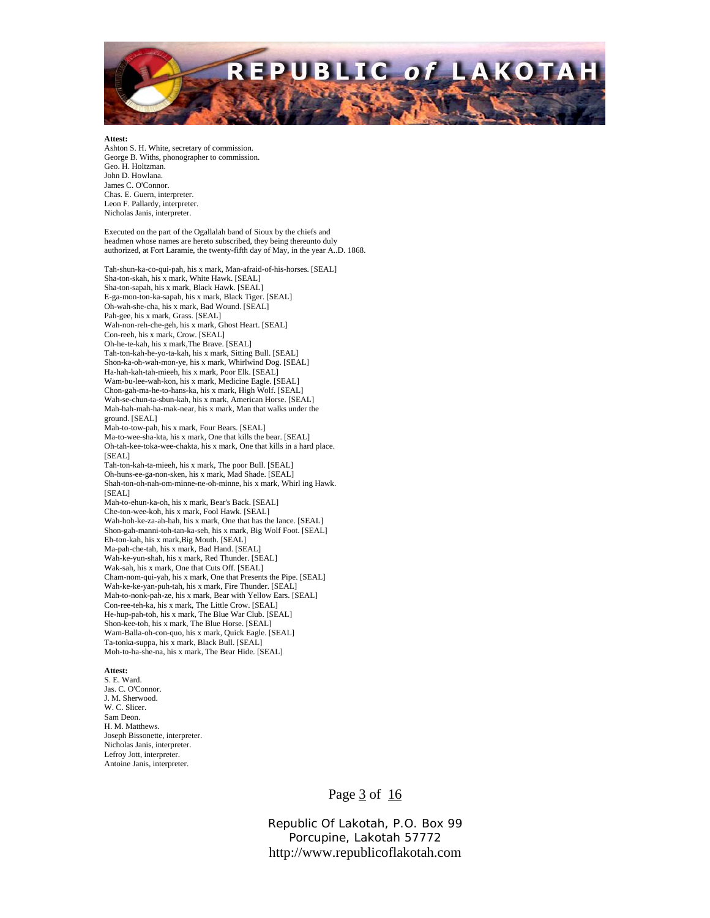

#### **Attest:**

Ashton S. H. White, secretary of commission. George B. Withs, phonographer to commission. Geo. H. Holtzman. John D. Howlana. James C. O'Connor. Chas. E. Guern, interpreter. Leon F. Pallardy, interpreter. Nicholas Janis, interpreter.

Executed on the part of the Ogallalah band of Sioux by the chiefs and headmen whose names are hereto subscribed, they being thereunto duly authorized, at Fort Laramie, the twenty-fifth day of May, in the year A..D. 1868.

Tah-shun-ka-co-qui-pah, his x mark, Man-afraid-of-his-horses. [SEAL] Sha-ton-skah, his x mark, White Hawk. [SEAL] Sha-ton-sapah, his x mark, Black Hawk. [SEAL] E-ga-mon-ton-ka-sapah, his x mark, Black Tiger. [SEAL] Oh-wah-she-cha, his x mark, Bad Wound. [SEAL] Pah-gee, his x mark, Grass. [SEAL] Wah-non-reh-che-geh, his x mark, Ghost Heart. [SEAL] Con-reeh, his x mark, Crow. [SEAL] Oh-he-te-kah, his x mark,The Brave. [SEAL] Tah-ton-kah-he-yo-ta-kah, his x mark, Sitting Bull. [SEAL] Shon-ka-oh-wah-mon-ye, his x mark, Whirlwind Dog. [SEAL] Ha-hah-kah-tah-mieeh, his x mark, Poor Elk. [SEAL] Wam-bu-lee-wah-kon, his x mark, Medicine Eagle. [SEAL] Chon-gah-ma-he-to-hans-ka, his x mark, High Wolf. [SEAL] Wah-se-chun-ta-sbun-kah, his x mark, American Horse. [SEAL] Mah-hah-mah-ha-mak-near, his x mark, Man that walks under the ground. [SEAL] Mah-to-tow-pah, his x mark, Four Bears. [SEAL] Ma-to-wee-sha-kta, his x mark, One that kills the bear. [SEAL] Oh-tah-kee-toka-wee-chakta, his x mark, One that kills in a hard place. [SEAL] Tah-ton-kah-ta-mieeh, his x mark, The poor Bull. [SEAL] Oh-huns-ee-ga-non-sken, his x mark, Mad Shade. [SEAL] Shah-ton-oh-nah-om-minne-ne-oh-minne, his x mark, Whirl ing Hawk. [SEAL] Mah-to-ehun-ka-oh, his x mark, Bear's Back. [SEAL] Che-ton-wee-koh, his x mark, Fool Hawk. [SEAL] Wah-hoh-ke-za-ah-hah, his x mark, One that has the lance. [SEAL] Shon-gah-manni-toh-tan-ka-seh, his x mark, Big Wolf Foot. [SEAL] Eh-ton-kah, his x mark,Big Mouth. [SEAL] Ma-pah-che-tah, his x mark, Bad Hand. [SEAL] Wah-ke-yun-shah, his x mark, Red Thunder. [SEAL] Wak-sah, his x mark, One that Cuts Off. [SEAL] Cham-nom-qui-yah, his x mark, One that Presents the Pipe. [SEAL] Wah-ke-ke-yan-puh-tah, his x mark, Fire Thunder. [SEAL] Mah-to-nonk-pah-ze, his x mark, Bear with Yellow Ears. [SEAL] Con-ree-teh-ka, his x mark, The Little Crow. [SEAL] He-hup-pah-toh, his x mark, The Blue War Club. [SEAL] Shon-kee-toh, his x mark, The Blue Horse. [SEAL] Wam-Balla-oh-con-quo, his x mark, Quick Eagle. [SEAL] Ta-tonka-suppa, his x mark, Black Bull. [SEAL] Moh-to-ha-she-na, his x mark, The Bear Hide. [SEAL]

## **Attest:**

S. E. Ward. Jas. C. O'Connor. J. M. Sherwood. W. C. Slicer. Sam Deon. H. M. Matthews. Joseph Bissonette, interpreter. Nicholas Janis, interpreter. Lefroy Jott, interpreter. Antoine Janis, interpreter.

Page  $3$  of  $16$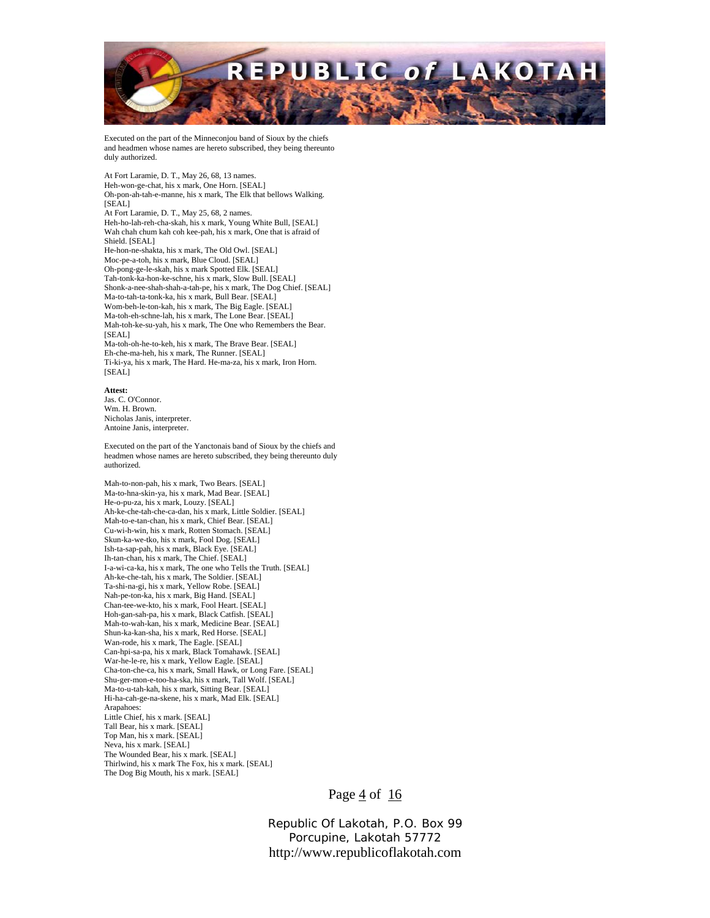

Executed on the part of the Minneconjou band of Sioux by the chiefs and headmen whose names are hereto subscribed, they being thereunto duly authorized.

At Fort Laramie, D. T., May 26, 68, 13 names. Heh-won-ge-chat, his x mark, One Horn. [SEAL] Oh-pon-ah-tah-e-manne, his x mark, The Elk that bellows Walking. [SEAL] At Fort Laramie, D. T., May 25, 68, 2 names. Heh-ho-lah-reh-cha-skah, his x mark, Young White Bull, [SEAL] Wah chah chum kah coh kee-pah, his x mark, One that is afraid of Shield. [SEAL] He-hon-ne-shakta, his x mark, The Old Owl. [SEAL] Moc-pe-a-toh, his x mark, Blue Cloud. [SEAL] Oh-pong-ge-le-skah, his x mark Spotted Elk. [SEAL] Tah-tonk-ka-hon-ke-schne, his x mark, Slow Bull. [SEAL] Shonk-a-nee-shah-shah-a-tah-pe, his x mark, The Dog Chief. [SEAL] Ma-to-tah-ta-tonk-ka, his x mark, Bull Bear. [SEAL] Wom-beh-le-ton-kah, his x mark, The Big Eagle. [SEAL] Ma-toh-eh-schne-lah, his x mark, The Lone Bear. [SEAL] Mah-toh-ke-su-yah, his x mark, The One who Remembers the Bear. [SEAL] Ma-toh-oh-he-to-keh, his x mark, The Brave Bear. [SEAL] Eh-che-ma-heh, his x mark, The Runner. [SEAL] Ti-ki-ya, his x mark, The Hard. He-ma-za, his x mark, Iron Horn.

## [SEAL] **Attest:**

Jas. C. O'Connor. Wm. H. Brown. Nicholas Janis, interpreter. Antoine Janis, interpreter.

Executed on the part of the Yanctonais band of Sioux by the chiefs and headmen whose names are hereto subscribed, they being thereunto duly authorized.

Mah-to-non-pah, his x mark, Two Bears. [SEAL] Ma-to-hna-skin-ya, his x mark, Mad Bear. [SEAL] He-o-pu-za, his x mark, Louzy. [SEAL] Ah-ke-che-tah-che-ca-dan, his x mark, Little Soldier. [SEAL] Mah-to-e-tan-chan, his x mark, Chief Bear. [SEAL] Cu-wi-h-win, his x mark, Rotten Stomach. [SEAL] Skun-ka-we-tko, his x mark, Fool Dog. [SEAL] Ish-ta-sap-pah, his x mark, Black Eye. [SEAL] Ih-tan-chan, his x mark, The Chief. [SEAL] I-a-wi-ca-ka, his x mark, The one who Tells the Truth. [SEAL] Ah-ke-che-tah, his x mark, The Soldier. [SEAL] Ta-shi-na-gi, his x mark, Yellow Robe. [SEAL] Nah-pe-ton-ka, his x mark, Big Hand. [SEAL] Chan-tee-we-kto, his x mark, Fool Heart. [SEAL] Hoh-gan-sah-pa, his x mark, Black Catfish. [SEAL] Mah-to-wah-kan, his x mark, Medicine Bear. [SEAL] Shun-ka-kan-sha, his x mark, Red Horse. [SEAL] Wan-rode, his x mark, The Eagle. [SEAL] Can-hpi-sa-pa, his x mark, Black Tomahawk. [SEAL] War-he-le-re, his x mark, Yellow Eagle. [SEAL] Cha-ton-che-ca, his x mark, Small Hawk, or Long Fare. [SEAL] Shu-ger-mon-e-too-ha-ska, his x mark, Tall Wolf. [SEAL] Ma-to-u-tah-kah, his x mark, Sitting Bear. [SEAL] Hi-ha-cah-ge-na-skene, his x mark, Mad Elk. [SEAL] Arapahoes: Little Chief, his x mark. [SEAL] Tall Bear, his x mark. [SEAL] Top Man, his x mark. [SEAL] Neva, his x mark. [SEAL] The Wounded Bear, his x mark. [SEAL] Thirlwind, his x mark The Fox, his x mark. [SEAL] The Dog Big Mouth, his x mark. [SEAL]

Page  $\frac{4}{5}$  of  $\frac{16}{5}$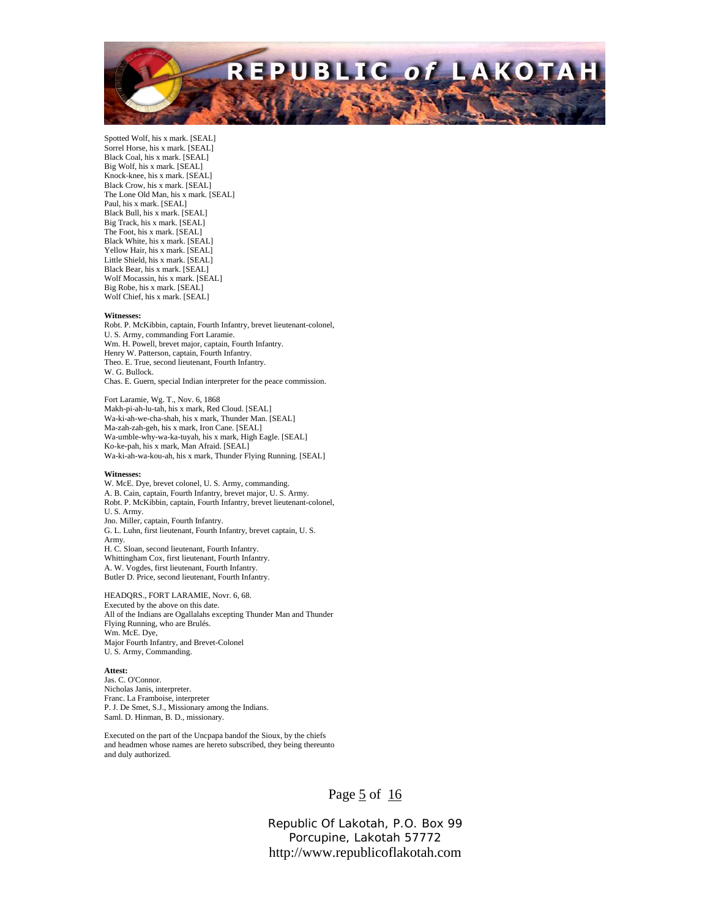

Spotted Wolf, his x mark. [SEAL] Sorrel Horse, his x mark. [SEAL] Black Coal, his x mark. [SEAL] Big Wolf, his x mark. [SEAL] Knock-knee, his x mark. [SEAL] Black Crow, his x mark. [SEAL] The Lone Old Man, his x mark. [SEAL] Paul, his x mark. [SEAL] Black Bull, his x mark. [SEAL] Big Track, his x mark. [SEAL] The Foot, his x mark. [SEAL] Black White, his x mark. [SEAL] Yellow Hair, his x mark. [SEAL] Little Shield, his x mark. [SEAL] Black Bear, his x mark. [SEAL] Wolf Mocassin, his x mark. [SEAL] Big Robe, his x mark. [SEAL] Wolf Chief, his x mark. [SEAL]

#### **Witnesses:**

Robt. P. McKibbin, captain, Fourth Infantry, brevet lieutenant-colonel, U. S. Army, commanding Fort Laramie. Wm. H. Powell, brevet major, captain, Fourth Infantry. Henry W. Patterson, captain, Fourth Infantry. Theo. E. True, second lieutenant, Fourth Infantry. W. G. Bullock. Chas. E. Guern, special Indian interpreter for the peace commission.

Fort Laramie, Wg. T., Nov. 6, 1868 Makh-pi-ah-lu-tah, his x mark, Red Cloud. [SEAL] Wa-ki-ah-we-cha-shah, his x mark, Thunder Man. [SEAL] Ma-zah-zah-geh, his x mark, Iron Cane. [SEAL] Wa-umble-why-wa-ka-tuyah, his x mark, High Eagle. [SEAL] Ko-ke-pah, his x mark, Man Afraid. [SEAL] Wa-ki-ah-wa-kou-ah, his x mark, Thunder Flying Running. [SEAL]

#### **Witnesses:**

W. McE. Dye, brevet colonel, U. S. Army, commanding. A. B. Cain, captain, Fourth Infantry, brevet major, U. S. Army. Robt. P. McKibbin, captain, Fourth Infantry, brevet lieutenant-colonel, U. S. Army. Jno. Miller, captain, Fourth Infantry. G. L. Luhn, first lieutenant, Fourth Infantry, brevet captain, U. S. Army. H. C. Sloan, second lieutenant, Fourth Infantry. Whittingham Cox, first lieutenant, Fourth Infantry. A. W. Vogdes, first lieutenant, Fourth Infantry. Butler D. Price, second lieutenant, Fourth Infantry.

HEADQRS., FORT LARAMIE, Novr. 6, 68. Executed by the above on this date. All of the Indians are Ogallalahs excepting Thunder Man and Thunder Flying Running, who are Brulés. Wm. McE. Dye, Major Fourth Infantry, and Brevet-Colonel U. S. Army, Commanding.

#### **Attest:**

Jas. C. O'Connor. Nicholas Janis, interpreter. Franc. La Framboise, interpreter P. J. De Smet, S.J., Missionary among the Indians. Saml. D. Hinman, B. D., missionary.

Executed on the part of the Uncpapa bandof the Sioux, by the chiefs and headmen whose names are hereto subscribed, they being thereunto and duly authorized.

Page  $5$  of  $16$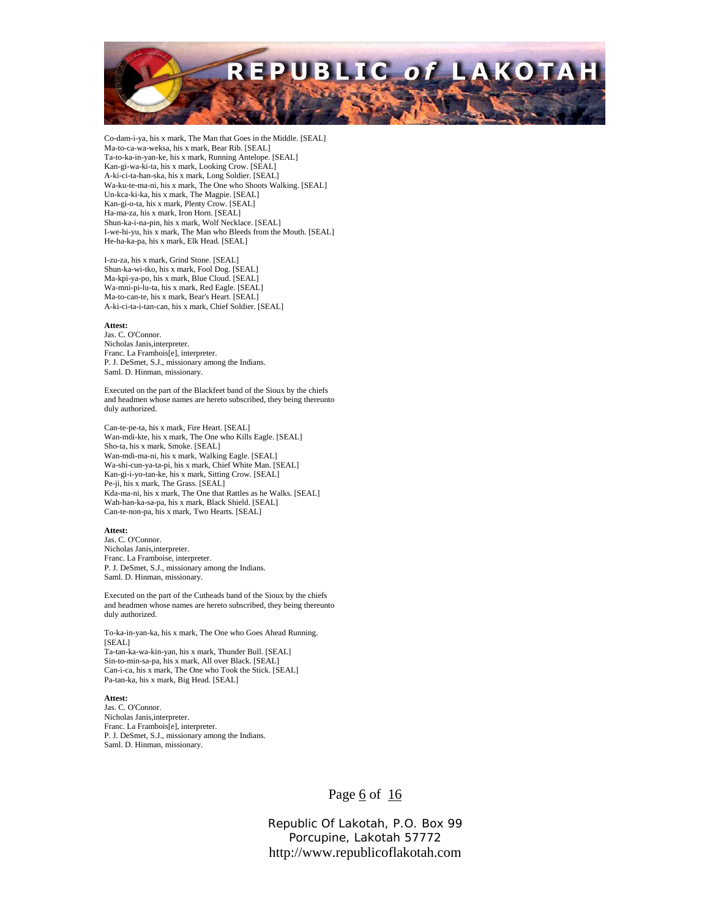

Co-dam-i-ya, his x mark, The Man that Goes in the Middle. [SEAL] Ma-to-ca-wa-weksa, his x mark, Bear Rib. [SEAL] Ta-to-ka-in-yan-ke, his x mark, Running Antelope. [SEAL] Kan-gi-wa-ki-ta, his x mark, Looking Crow. [SEAL] A-ki-ci-ta-han-ska, his x mark, Long Soldier. [SEAL] Wa-ku-te-ma-ni, his x mark, The One who Shoots Walking. [SEAL] Un-kca-ki-ka, his x mark, The Magpie. [SEAL] Kan-gi-o-ta, his x mark, Plenty Crow. [SEAL] Ha-ma-za, his x mark, Iron Horn. [SEAL] Shun-ka-i-na-pin, his x mark, Wolf Necklace. [SEAL] I-we-hi-yu, his x mark, The Man who Bleeds from the Mouth. [SEAL] He-ha-ka-pa, his x mark, Elk Head. [SEAL]

I-zu-za, his x mark, Grind Stone. [SEAL] Shun-ka-wi-tko, his x mark, Fool Dog. [SEAL] Ma-kpi-ya-po, his x mark, Blue Cloud. [SEAL] Wa-mni-pi-lu-ta, his x mark, Red Eagle. [SEAL] Ma-to-can-te, his x mark, Bear's Heart. [SEAL] A-ki-ci-ta-i-tan-can, his x mark, Chief Soldier. [SEAL]

#### **Attest:**

Jas. C. O'Connor. Nicholas Janis,interpreter. Franc. La Frambois[e], interpreter. P. J. DeSmet, S.J., missionary among the Indians. Saml. D. Hinman, missionary.

Executed on the part of the Blackfeet band of the Sioux by the chiefs and headmen whose names are hereto subscribed, they being thereunto duly authorized.

Can-te-pe-ta, his x mark, Fire Heart. [SEAL] Wan-mdi-kte, his x mark, The One who Kills Eagle. [SEAL] Sho-ta, his x mark, Smoke. [SEAL] Wan-mdi-ma-ni, his x mark, Walking Eagle. [SEAL] Wa-shi-cun-ya-ta-pi, his x mark, Chief White Man. [SEAL] Kan-gi-i-yo-tan-ke, his x mark, Sitting Crow. [SEAL] Pe-ji, his x mark, The Grass. [SEAL] Kda-ma-ni, his x mark, The One that Rattles as he Walks. [SEAL] Wah-han-ka-sa-pa, his x mark, Black Shield. [SEAL] Can-te-non-pa, his x mark, Two Hearts. [SEAL]

#### **Attest:**

Jas. C. O'Connor. Nicholas Janis,interpreter. Franc. La Framboise, interpreter. P. J. DeSmet, S.J., missionary among the Indians. Saml. D. Hinman, missionary.

Executed on the part of the Cutheads band of the Sioux by the chiefs and headmen whose names are hereto subscribed, they being thereunto duly authorized.

To-ka-in-yan-ka, his x mark, The One who Goes Ahead Running. [SEAL] Ta-tan-ka-wa-kin-yan, his x mark, Thunder Bull. [SEAL] Sin-to-min-sa-pa, his x mark, All over Black. [SEAL]

Can-i-ca, his x mark, The One who Took the Stick. [SEAL] Pa-tan-ka, his x mark, Big Head. [SEAL]

#### **Attest:**

Jas. C. O'Connor. Nicholas Janis,interpreter. Franc. La Frambois[e], interpreter. P. J. DeSmet, S.J., missionary among the Indians. Saml. D. Hinman, missionary.

Page  $6$  of  $16$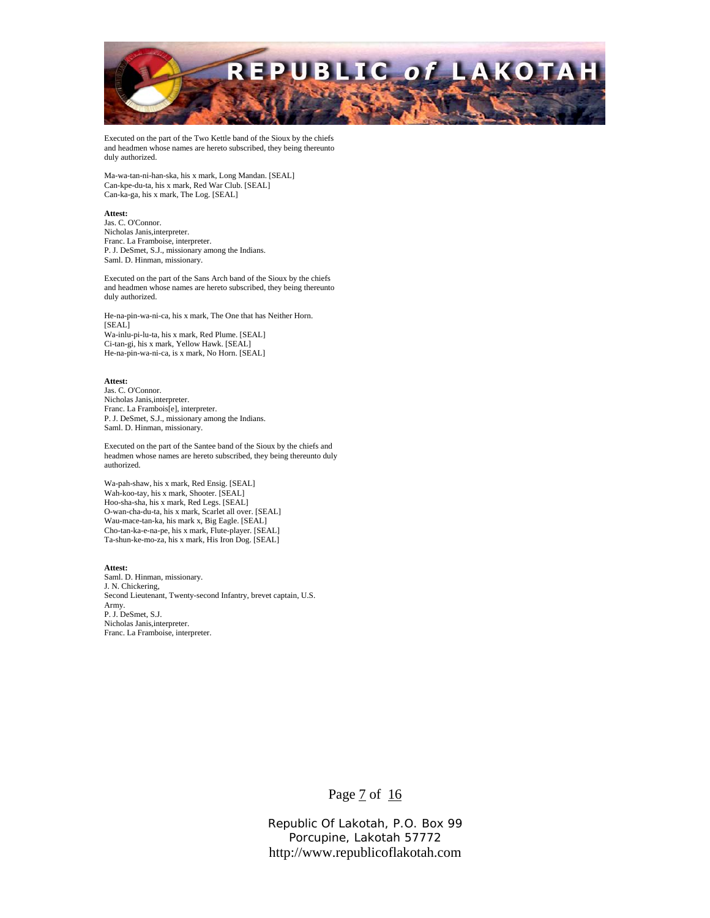

Executed on the part of the Two Kettle band of the Sioux by the chiefs and headmen whose names are hereto subscribed, they being thereunto duly authorized.

Ma-wa-tan-ni-han-ska, his x mark, Long Mandan. [SEAL] Can-kpe-du-ta, his x mark, Red War Club. [SEAL] Can-ka-ga, his x mark, The Log. [SEAL]

#### **Attest:**

Jas. C. O'Connor. Nicholas Janis,interpreter. Franc. La Framboise, interpreter. P. J. DeSmet, S.J., missionary among the Indians. Saml. D. Hinman, missionary.

Executed on the part of the Sans Arch band of the Sioux by the chiefs and headmen whose names are hereto subscribed, they being thereunto duly authorized.

He-na-pin-wa-ni-ca, his x mark, The One that has Neither Horn. [SEAL] Wa-inlu-pi-lu-ta, his x mark, Red Plume. [SEAL] Ci-tan-gi, his x mark, Yellow Hawk. [SEAL] He-na-pin-wa-ni-ca, is x mark, No Horn. [SEAL]

#### **Attest:**

Jas. C. O'Connor. Nicholas Janis,interpreter. Franc. La Frambois[e], interpreter. P. J. DeSmet, S.J., missionary among the Indians. Saml. D. Hinman, missionary.

Executed on the part of the Santee band of the Sioux by the chiefs and headmen whose names are hereto subscribed, they being thereunto duly authorized.

Wa-pah-shaw, his x mark, Red Ensig. [SEAL] Wah-koo-tay, his x mark, Shooter. [SEAL] Hoo-sha-sha, his x mark, Red Legs. [SEAL] O-wan-cha-du-ta, his x mark, Scarlet all over. [SEAL] Wau-mace-tan-ka, his mark x, Big Eagle. [SEAL] Cho-tan-ka-e-na-pe, his x mark, Flute-player. [SEAL] Ta-shun-ke-mo-za, his x mark, His Iron Dog. [SEAL]

### **Attest:**

Saml. D. Hinman, missionary. J. N. Chickering, Second Lieutenant, Twenty-second Infantry, brevet captain, U.S. Army. P. J. DeSmet, S.J. Nicholas Janis,interpreter. Franc. La Framboise, interpreter.

Page 7 of 16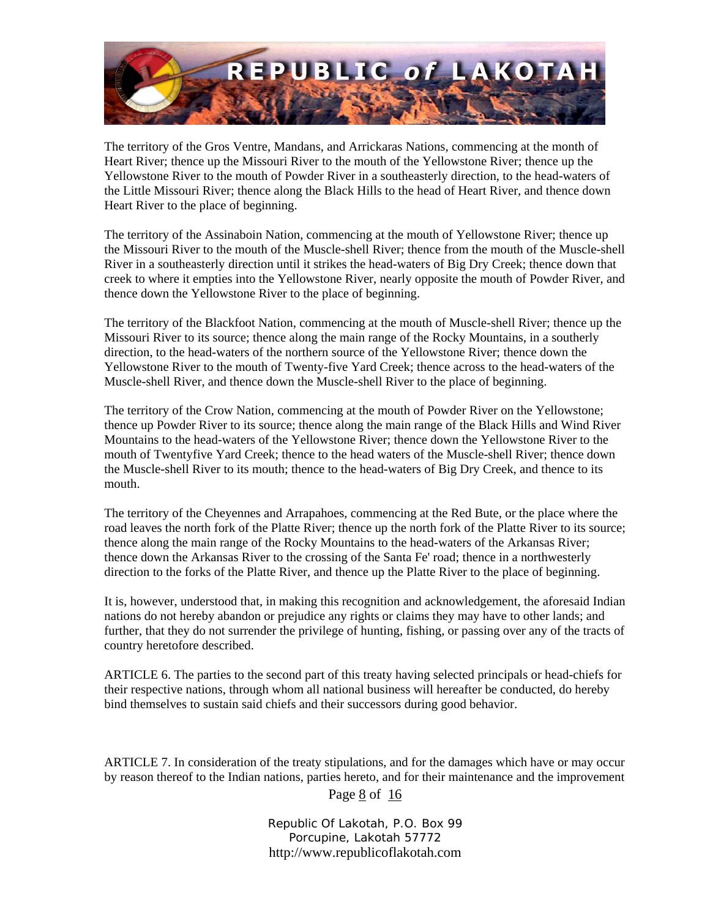

The territory of the Gros Ventre, Mandans, and Arrickaras Nations, commencing at the month of Heart River; thence up the Missouri River to the mouth of the Yellowstone River; thence up the Yellowstone River to the mouth of Powder River in a southeasterly direction, to the head-waters of the Little Missouri River; thence along the Black Hills to the head of Heart River, and thence down Heart River to the place of beginning.

The territory of the Assinaboin Nation, commencing at the mouth of Yellowstone River; thence up the Missouri River to the mouth of the Muscle-shell River; thence from the mouth of the Muscle-shell River in a southeasterly direction until it strikes the head-waters of Big Dry Creek; thence down that creek to where it empties into the Yellowstone River, nearly opposite the mouth of Powder River, and thence down the Yellowstone River to the place of beginning.

The territory of the Blackfoot Nation, commencing at the mouth of Muscle-shell River; thence up the Missouri River to its source; thence along the main range of the Rocky Mountains, in a southerly direction, to the head-waters of the northern source of the Yellowstone River; thence down the Yellowstone River to the mouth of Twenty-five Yard Creek; thence across to the head-waters of the Muscle-shell River, and thence down the Muscle-shell River to the place of beginning.

The territory of the Crow Nation, commencing at the mouth of Powder River on the Yellowstone; thence up Powder River to its source; thence along the main range of the Black Hills and Wind River Mountains to the head-waters of the Yellowstone River; thence down the Yellowstone River to the mouth of Twentyfive Yard Creek; thence to the head waters of the Muscle-shell River; thence down the Muscle-shell River to its mouth; thence to the head-waters of Big Dry Creek, and thence to its mouth.

The territory of the Cheyennes and Arrapahoes, commencing at the Red Bute, or the place where the road leaves the north fork of the Platte River; thence up the north fork of the Platte River to its source; thence along the main range of the Rocky Mountains to the head-waters of the Arkansas River; thence down the Arkansas River to the crossing of the Santa Fe' road; thence in a northwesterly direction to the forks of the Platte River, and thence up the Platte River to the place of beginning.

It is, however, understood that, in making this recognition and acknowledgement, the aforesaid Indian nations do not hereby abandon or prejudice any rights or claims they may have to other lands; and further, that they do not surrender the privilege of hunting, fishing, or passing over any of the tracts of country heretofore described.

ARTICLE 6. The parties to the second part of this treaty having selected principals or head-chiefs for their respective nations, through whom all national business will hereafter be conducted, do hereby bind themselves to sustain said chiefs and their successors during good behavior.

Page  $8$  of  $16$ ARTICLE 7. In consideration of the treaty stipulations, and for the damages which have or may occur by reason thereof to the Indian nations, parties hereto, and for their maintenance and the improvement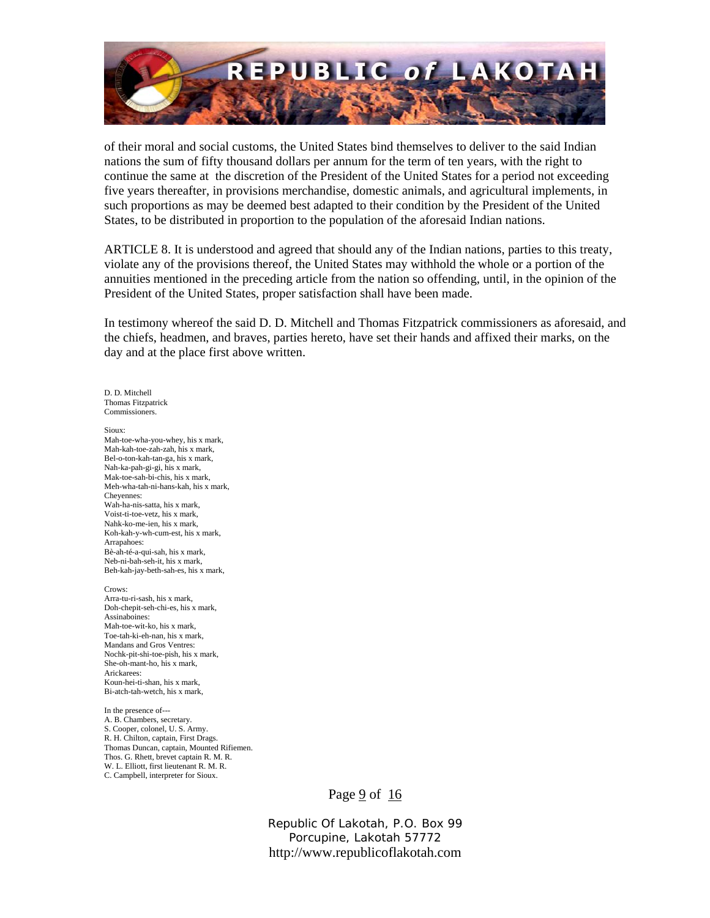

of their moral and social customs, the United States bind themselves to deliver to the said Indian nations the sum of fifty thousand dollars per annum for the term of ten years, with the right to continue the same at the discretion of the President of the United States for a period not exceeding five years thereafter, in provisions merchandise, domestic animals, and agricultural implements, in such proportions as may be deemed best adapted to their condition by the President of the United States, to be distributed in proportion to the population of the aforesaid Indian nations.

ARTICLE 8. It is understood and agreed that should any of the Indian nations, parties to this treaty, violate any of the provisions thereof, the United States may withhold the whole or a portion of the annuities mentioned in the preceding article from the nation so offending, until, in the opinion of the President of the United States, proper satisfaction shall have been made.

In testimony whereof the said D. D. Mitchell and Thomas Fitzpatrick commissioners as aforesaid, and the chiefs, headmen, and braves, parties hereto, have set their hands and affixed their marks, on the day and at the place first above written.

D. D. Mitchell Thomas Fitzpatrick **Commissioners** 

#### Sioux:

Mah-toe-wha-you-whey, his x mark, Mah-kah-toe-zah-zah, his x mark, Bel-o-ton-kah-tan-ga, his x mark, Nah-ka-pah-gi-gi, his x mark, Mak-toe-sah-bi-chis, his x mark, Meh-wha-tah-ni-hans-kah, his x mark, Cheyennes: Wah-ha-nis-satta, his x mark, Voist-ti-toe-vetz, his x mark, Nahk-ko-me-ien, his x mark, Koh-kah-y-wh-cum-est, his x mark, Arrapahoes: Bè-ah-té-a-qui-sah, his x mark, Neb-ni-bah-seh-it, his x mark, Beh-kah-jay-beth-sah-es, his x mark,

Crows: Arra-tu-ri-sash, his x mark, Doh-chepit-seh-chi-es, his x mark, Assinaboines: Mah-toe-wit-ko, his x mark, Toe-tah-ki-eh-nan, his x mark, Mandans and Gros Ventres: Nochk-pit-shi-toe-pish, his x mark, She-oh-mant-ho, his x mark, Arickarees: Koun-hei-ti-shan, his x mark, Bi-atch-tah-wetch, his x mark,

In the presence of--- A. B. Chambers, secretary. S. Cooper, colonel, U. S. Army. R. H. Chilton, captain, First Drags. Thomas Duncan, captain, Mounted Rifiemen. Thos. G. Rhett, brevet captain R. M. R. W. L. Elliott, first lieutenant R. M. R. C. Campbell, interpreter for Sioux.

Page  $9$  of  $16$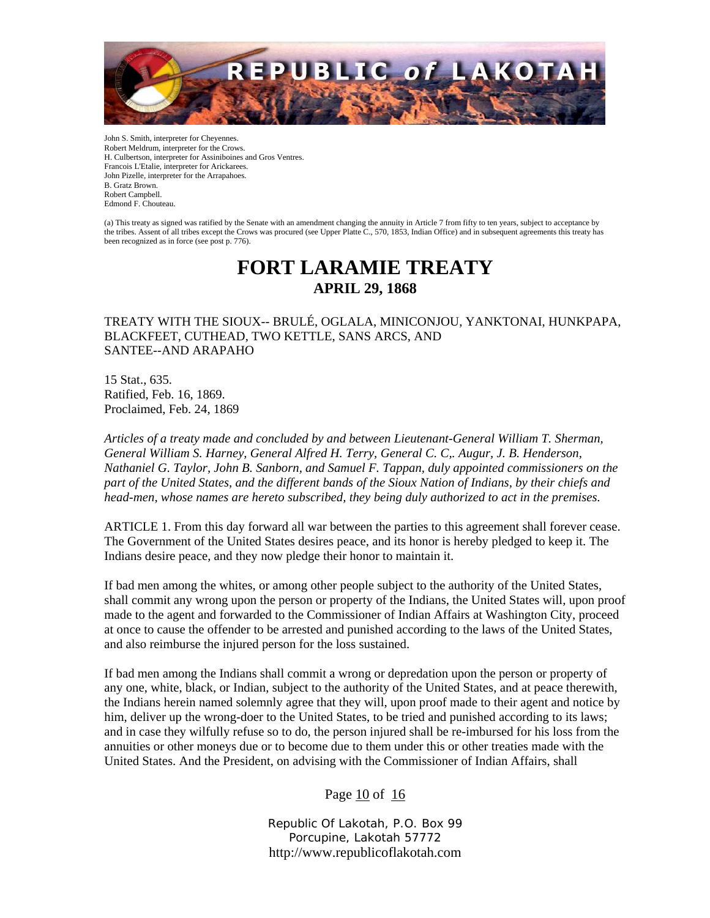

John S. Smith, interpreter for Cheyennes. Robert Meldrum, interpreter for the Crows. H. Culbertson, interpreter for Assiniboines and Gros Ventres. Francois L'Etalie, interpreter for Arickarees. John Pizelle, interpreter for the Arrapahoes. B. Gratz Brown. Robert Campbell. Edmond F. Chouteau.

(a) This treaty as signed was ratified by the Senate with an amendment changing the annuity in Article 7 from fifty to ten years, subject to acceptance by the tribes. Assent of all tribes except the Crows was procured (see Upper Platte C., 570, 1853, Indian Office) and in subsequent agreements this treaty has been recognized as in force (see post p. 776).

## **FORT LARAMIE TREATY APRIL 29, 1868**

## TREATY WITH THE SIOUX-- BRULÉ, OGLALA, MINICONJOU, YANKTONAI, HUNKPAPA, BLACKFEET, CUTHEAD, TWO KETTLE, SANS ARCS, AND SANTEE--AND ARAPAHO

15 Stat., 635. Ratified, Feb. 16, 1869. Proclaimed, Feb. 24, 1869

*Articles of a treaty made and concluded by and between Lieutenant-General William T. Sherman, General William S. Harney, General Alfred H. Terry, General C. C,. Augur, J. B. Henderson, Nathaniel G. Taylor, John B. Sanborn, and Samuel F. Tappan, duly appointed commissioners on the part of the United States, and the different bands of the Sioux Nation of Indians, by their chiefs and head-men, whose names are hereto subscribed, they being duly authorized to act in the premises.* 

ARTICLE 1. From this day forward all war between the parties to this agreement shall forever cease. The Government of the United States desires peace, and its honor is hereby pledged to keep it. The Indians desire peace, and they now pledge their honor to maintain it.

If bad men among the whites, or among other people subject to the authority of the United States, shall commit any wrong upon the person or property of the Indians, the United States will, upon proof made to the agent and forwarded to the Commissioner of Indian Affairs at Washington City, proceed at once to cause the offender to be arrested and punished according to the laws of the United States, and also reimburse the injured person for the loss sustained.

If bad men among the Indians shall commit a wrong or depredation upon the person or property of any one, white, black, or Indian, subject to the authority of the United States, and at peace therewith, the Indians herein named solemnly agree that they will, upon proof made to their agent and notice by him, deliver up the wrong-doer to the United States, to be tried and punished according to its laws; and in case they wilfully refuse so to do, the person injured shall be re-imbursed for his loss from the annuities or other moneys due or to become due to them under this or other treaties made with the United States. And the President, on advising with the Commissioner of Indian Affairs, shall

Page 10 of 16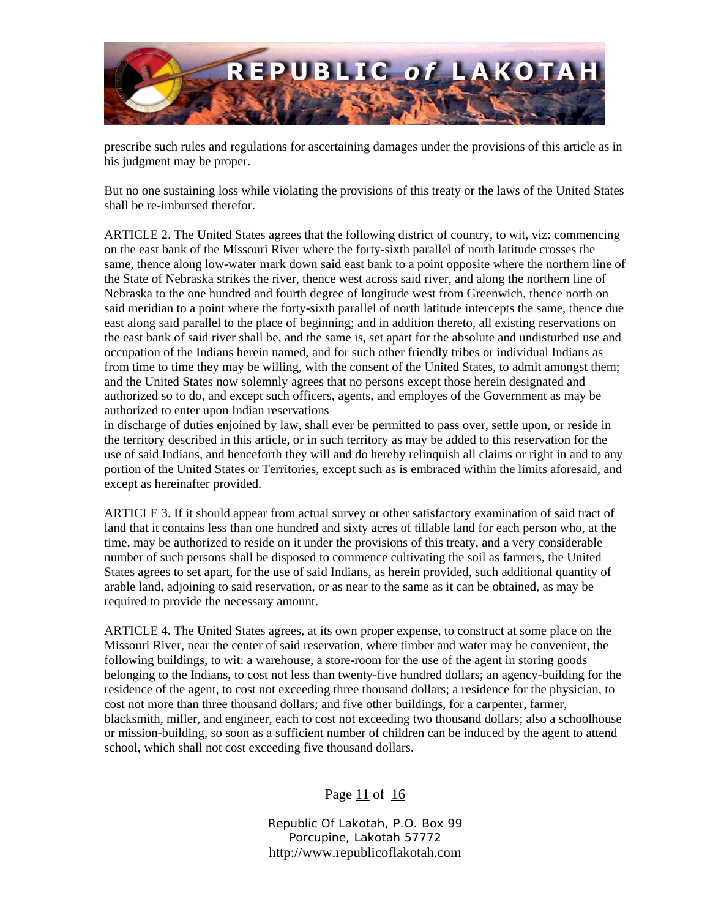

prescribe such rules and regulations for ascertaining damages under the provisions of this article as in his judgment may be proper.

But no one sustaining loss while violating the provisions of this treaty or the laws of the United States shall be re-imbursed therefor.

ARTICLE 2. The United States agrees that the following district of country, to wit, viz: commencing on the east bank of the Missouri River where the forty-sixth parallel of north latitude crosses the same, thence along low-water mark down said east bank to a point opposite where the northern line of the State of Nebraska strikes the river, thence west across said river, and along the northern line of Nebraska to the one hundred and fourth degree of longitude west from Greenwich, thence north on said meridian to a point where the forty-sixth parallel of north latitude intercepts the same, thence due east along said parallel to the place of beginning; and in addition thereto, all existing reservations on the east bank of said river shall be, and the same is, set apart for the absolute and undisturbed use and occupation of the Indians herein named, and for such other friendly tribes or individual Indians as from time to time they may be willing, with the consent of the United States, to admit amongst them; and the United States now solemnly agrees that no persons except those herein designated and authorized so to do, and except such officers, agents, and employes of the Government as may be authorized to enter upon Indian reservations

in discharge of duties enjoined by law, shall ever be permitted to pass over, settle upon, or reside in the territory described in this article, or in such territory as may be added to this reservation for the use of said Indians, and henceforth they will and do hereby relinquish all claims or right in and to any portion of the United States or Territories, except such as is embraced within the limits aforesaid, and except as hereinafter provided.

ARTICLE 3. If it should appear from actual survey or other satisfactory examination of said tract of land that it contains less than one hundred and sixty acres of tillable land for each person who, at the time, may be authorized to reside on it under the provisions of this treaty, and a very considerable number of such persons shall be disposed to commence cultivating the soil as farmers, the United States agrees to set apart, for the use of said Indians, as herein provided, such additional quantity of arable land, adjoining to said reservation, or as near to the same as it can be obtained, as may be required to provide the necessary amount.

ARTICLE 4. The United States agrees, at its own proper expense, to construct at some place on the Missouri River, near the center of said reservation, where timber and water may be convenient, the following buildings, to wit: a warehouse, a store-room for the use of the agent in storing goods belonging to the Indians, to cost not less than twenty-five hundred dollars; an agency-building for the residence of the agent, to cost not exceeding three thousand dollars; a residence for the physician, to cost not more than three thousand dollars; and five other buildings, for a carpenter, farmer, blacksmith, miller, and engineer, each to cost not exceeding two thousand dollars; also a schoolhouse or mission-building, so soon as a sufficient number of children can be induced by the agent to attend school, which shall not cost exceeding five thousand dollars.

Page 11 of 16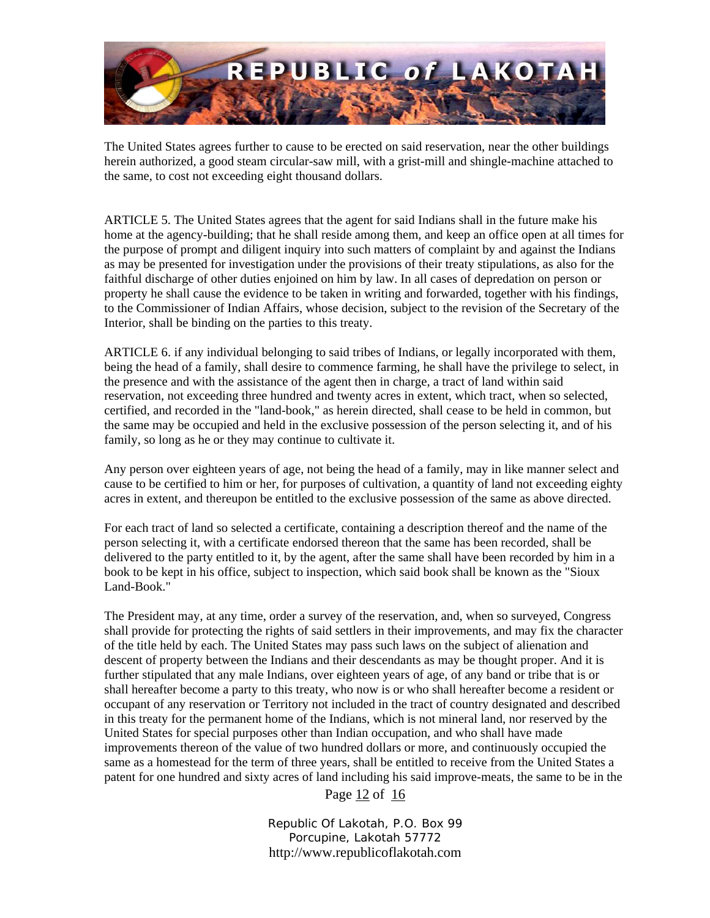

The United States agrees further to cause to be erected on said reservation, near the other buildings herein authorized, a good steam circular-saw mill, with a grist-mill and shingle-machine attached to the same, to cost not exceeding eight thousand dollars.

ARTICLE 5. The United States agrees that the agent for said Indians shall in the future make his home at the agency-building; that he shall reside among them, and keep an office open at all times for the purpose of prompt and diligent inquiry into such matters of complaint by and against the Indians as may be presented for investigation under the provisions of their treaty stipulations, as also for the faithful discharge of other duties enjoined on him by law. In all cases of depredation on person or property he shall cause the evidence to be taken in writing and forwarded, together with his findings, to the Commissioner of Indian Affairs, whose decision, subject to the revision of the Secretary of the Interior, shall be binding on the parties to this treaty.

ARTICLE 6. if any individual belonging to said tribes of Indians, or legally incorporated with them, being the head of a family, shall desire to commence farming, he shall have the privilege to select, in the presence and with the assistance of the agent then in charge, a tract of land within said reservation, not exceeding three hundred and twenty acres in extent, which tract, when so selected, certified, and recorded in the "land-book," as herein directed, shall cease to be held in common, but the same may be occupied and held in the exclusive possession of the person selecting it, and of his family, so long as he or they may continue to cultivate it.

Any person over eighteen years of age, not being the head of a family, may in like manner select and cause to be certified to him or her, for purposes of cultivation, a quantity of land not exceeding eighty acres in extent, and thereupon be entitled to the exclusive possession of the same as above directed.

For each tract of land so selected a certificate, containing a description thereof and the name of the person selecting it, with a certificate endorsed thereon that the same has been recorded, shall be delivered to the party entitled to it, by the agent, after the same shall have been recorded by him in a book to be kept in his office, subject to inspection, which said book shall be known as the "Sioux Land-Book."

The President may, at any time, order a survey of the reservation, and, when so surveyed, Congress shall provide for protecting the rights of said settlers in their improvements, and may fix the character of the title held by each. The United States may pass such laws on the subject of alienation and descent of property between the Indians and their descendants as may be thought proper. And it is further stipulated that any male Indians, over eighteen years of age, of any band or tribe that is or shall hereafter become a party to this treaty, who now is or who shall hereafter become a resident or occupant of any reservation or Territory not included in the tract of country designated and described in this treaty for the permanent home of the Indians, which is not mineral land, nor reserved by the United States for special purposes other than Indian occupation, and who shall have made improvements thereon of the value of two hundred dollars or more, and continuously occupied the same as a homestead for the term of three years, shall be entitled to receive from the United States a patent for one hundred and sixty acres of land including his said improve-meats, the same to be in the

Page 12 of 16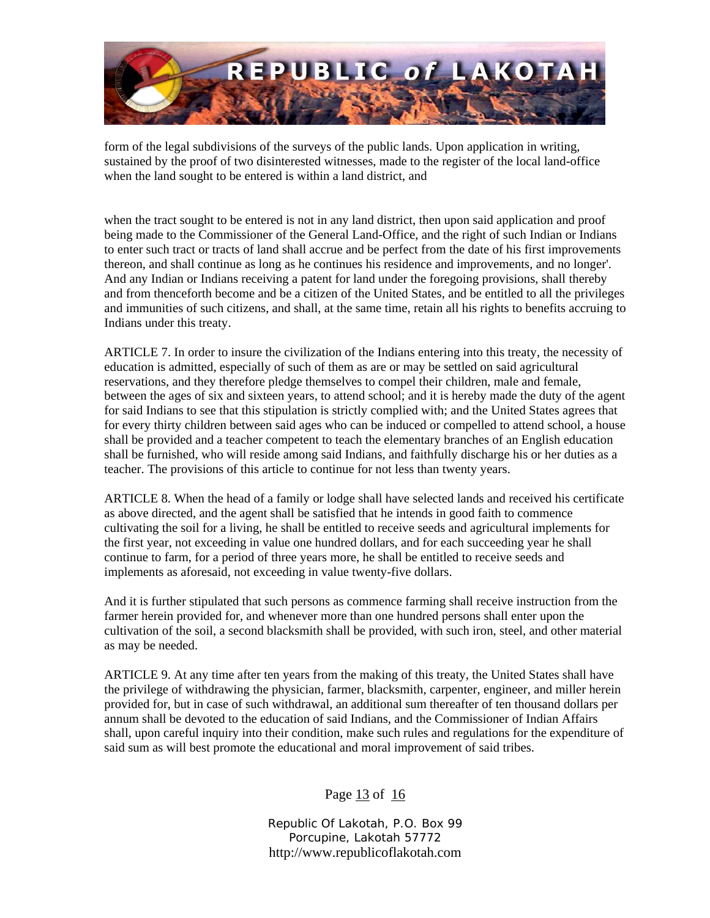

form of the legal subdivisions of the surveys of the public lands. Upon application in writing, sustained by the proof of two disinterested witnesses, made to the register of the local land-office when the land sought to be entered is within a land district, and

when the tract sought to be entered is not in any land district, then upon said application and proof being made to the Commissioner of the General Land-Office, and the right of such Indian or Indians to enter such tract or tracts of land shall accrue and be perfect from the date of his first improvements thereon, and shall continue as long as he continues his residence and improvements, and no longer'. And any Indian or Indians receiving a patent for land under the foregoing provisions, shall thereby and from thenceforth become and be a citizen of the United States, and be entitled to all the privileges and immunities of such citizens, and shall, at the same time, retain all his rights to benefits accruing to Indians under this treaty.

ARTICLE 7. In order to insure the civilization of the Indians entering into this treaty, the necessity of education is admitted, especially of such of them as are or may be settled on said agricultural reservations, and they therefore pledge themselves to compel their children, male and female, between the ages of six and sixteen years, to attend school; and it is hereby made the duty of the agent for said Indians to see that this stipulation is strictly complied with; and the United States agrees that for every thirty children between said ages who can be induced or compelled to attend school, a house shall be provided and a teacher competent to teach the elementary branches of an English education shall be furnished, who will reside among said Indians, and faithfully discharge his or her duties as a teacher. The provisions of this article to continue for not less than twenty years.

ARTICLE 8. When the head of a family or lodge shall have selected lands and received his certificate as above directed, and the agent shall be satisfied that he intends in good faith to commence cultivating the soil for a living, he shall be entitled to receive seeds and agricultural implements for the first year, not exceeding in value one hundred dollars, and for each succeeding year he shall continue to farm, for a period of three years more, he shall be entitled to receive seeds and implements as aforesaid, not exceeding in value twenty-five dollars.

And it is further stipulated that such persons as commence farming shall receive instruction from the farmer herein provided for, and whenever more than one hundred persons shall enter upon the cultivation of the soil, a second blacksmith shall be provided, with such iron, steel, and other material as may be needed.

ARTICLE 9. At any time after ten years from the making of this treaty, the United States shall have the privilege of withdrawing the physician, farmer, blacksmith, carpenter, engineer, and miller herein provided for, but in case of such withdrawal, an additional sum thereafter of ten thousand dollars per annum shall be devoted to the education of said Indians, and the Commissioner of Indian Affairs shall, upon careful inquiry into their condition, make such rules and regulations for the expenditure of said sum as will best promote the educational and moral improvement of said tribes.

Page 13 of 16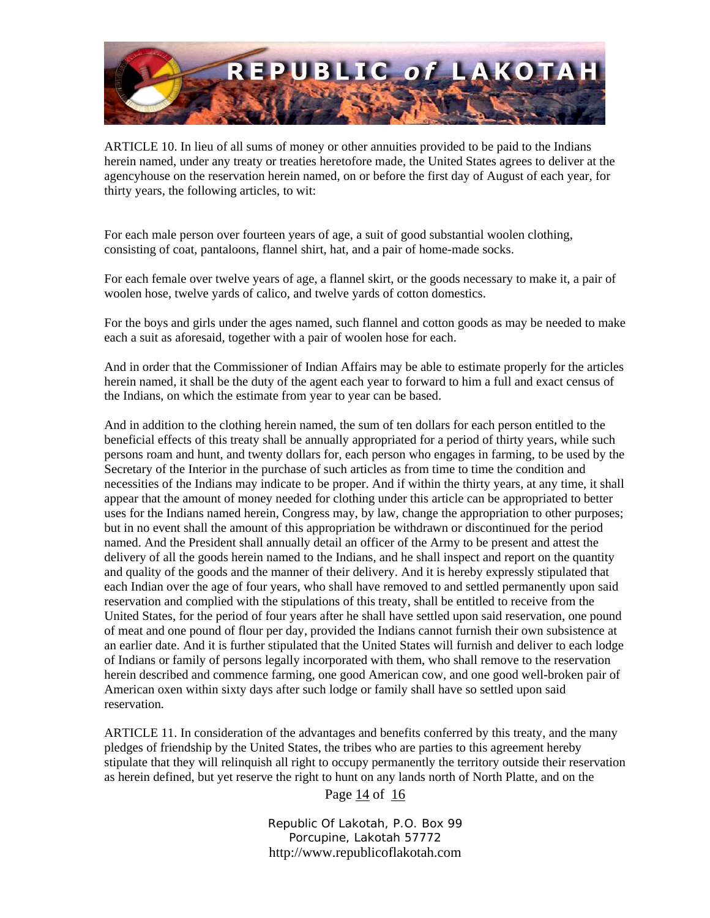

ARTICLE 10. In lieu of all sums of money or other annuities provided to be paid to the Indians herein named, under any treaty or treaties heretofore made, the United States agrees to deliver at the agencyhouse on the reservation herein named, on or before the first day of August of each year, for thirty years, the following articles, to wit:

For each male person over fourteen years of age, a suit of good substantial woolen clothing, consisting of coat, pantaloons, flannel shirt, hat, and a pair of home-made socks.

For each female over twelve years of age, a flannel skirt, or the goods necessary to make it, a pair of woolen hose, twelve yards of calico, and twelve yards of cotton domestics.

For the boys and girls under the ages named, such flannel and cotton goods as may be needed to make each a suit as aforesaid, together with a pair of woolen hose for each.

And in order that the Commissioner of Indian Affairs may be able to estimate properly for the articles herein named, it shall be the duty of the agent each year to forward to him a full and exact census of the Indians, on which the estimate from year to year can be based.

And in addition to the clothing herein named, the sum of ten dollars for each person entitled to the beneficial effects of this treaty shall be annually appropriated for a period of thirty years, while such persons roam and hunt, and twenty dollars for, each person who engages in farming, to be used by the Secretary of the Interior in the purchase of such articles as from time to time the condition and necessities of the Indians may indicate to be proper. And if within the thirty years, at any time, it shall appear that the amount of money needed for clothing under this article can be appropriated to better uses for the Indians named herein, Congress may, by law, change the appropriation to other purposes; but in no event shall the amount of this appropriation be withdrawn or discontinued for the period named. And the President shall annually detail an officer of the Army to be present and attest the delivery of all the goods herein named to the Indians, and he shall inspect and report on the quantity and quality of the goods and the manner of their delivery. And it is hereby expressly stipulated that each Indian over the age of four years, who shall have removed to and settled permanently upon said reservation and complied with the stipulations of this treaty, shall be entitled to receive from the United States, for the period of four years after he shall have settled upon said reservation, one pound of meat and one pound of flour per day, provided the Indians cannot furnish their own subsistence at an earlier date. And it is further stipulated that the United States will furnish and deliver to each lodge of Indians or family of persons legally incorporated with them, who shall remove to the reservation herein described and commence farming, one good American cow, and one good well-broken pair of American oxen within sixty days after such lodge or family shall have so settled upon said reservation.

ARTICLE 11. In consideration of the advantages and benefits conferred by this treaty, and the many pledges of friendship by the United States, the tribes who are parties to this agreement hereby stipulate that they will relinquish all right to occupy permanently the territory outside their reservation as herein defined, but yet reserve the right to hunt on any lands north of North Platte, and on the

Page 14 of 16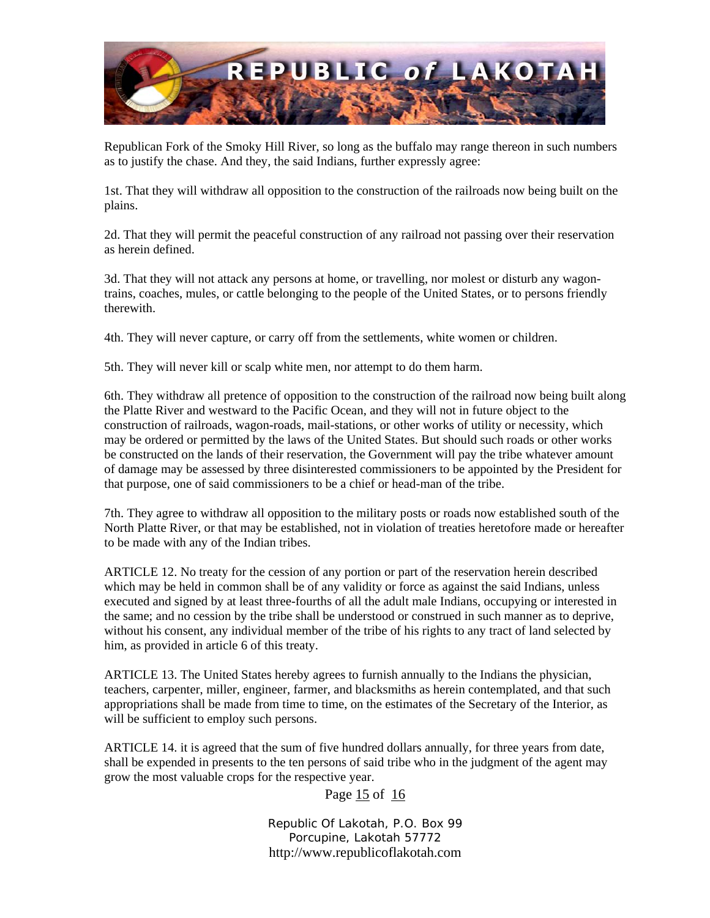

Republican Fork of the Smoky Hill River, so long as the buffalo may range thereon in such numbers as to justify the chase. And they, the said Indians, further expressly agree:

1st. That they will withdraw all opposition to the construction of the railroads now being built on the plains.

2d. That they will permit the peaceful construction of any railroad not passing over their reservation as herein defined.

3d. That they will not attack any persons at home, or travelling, nor molest or disturb any wagontrains, coaches, mules, or cattle belonging to the people of the United States, or to persons friendly therewith.

4th. They will never capture, or carry off from the settlements, white women or children.

5th. They will never kill or scalp white men, nor attempt to do them harm.

6th. They withdraw all pretence of opposition to the construction of the railroad now being built along the Platte River and westward to the Pacific Ocean, and they will not in future object to the construction of railroads, wagon-roads, mail-stations, or other works of utility or necessity, which may be ordered or permitted by the laws of the United States. But should such roads or other works be constructed on the lands of their reservation, the Government will pay the tribe whatever amount of damage may be assessed by three disinterested commissioners to be appointed by the President for that purpose, one of said commissioners to be a chief or head-man of the tribe.

7th. They agree to withdraw all opposition to the military posts or roads now established south of the North Platte River, or that may be established, not in violation of treaties heretofore made or hereafter to be made with any of the Indian tribes.

ARTICLE 12. No treaty for the cession of any portion or part of the reservation herein described which may be held in common shall be of any validity or force as against the said Indians, unless executed and signed by at least three-fourths of all the adult male Indians, occupying or interested in the same; and no cession by the tribe shall be understood or construed in such manner as to deprive, without his consent, any individual member of the tribe of his rights to any tract of land selected by him, as provided in article 6 of this treaty.

ARTICLE 13. The United States hereby agrees to furnish annually to the Indians the physician, teachers, carpenter, miller, engineer, farmer, and blacksmiths as herein contemplated, and that such appropriations shall be made from time to time, on the estimates of the Secretary of the Interior, as will be sufficient to employ such persons.

ARTICLE 14. it is agreed that the sum of five hundred dollars annually, for three years from date, shall be expended in presents to the ten persons of said tribe who in the judgment of the agent may grow the most valuable crops for the respective year.

Page 15 of 16